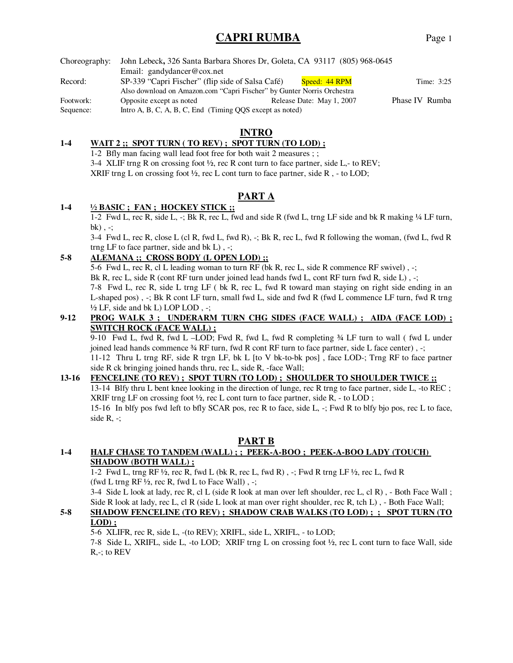## **CAPRI RUMBA** Page 1

**INTRO**

#### **1-4 WAIT 2 ;; SPOT TURN ( TO REV) ; SPOT TURN (TO LOD) ;**

1-2 Bfly man facing wall lead foot free for both wait 2 measures ; ; 3-4 XLIF trng R on crossing foot  $\frac{1}{2}$ , rec R cont turn to face partner, side L,- to REV; XRIF trng L on crossing foot  $\frac{1}{2}$ , rec L cont turn to face partner, side R, - to LOD;

## **PART A**

#### **1-4 ½ BASIC ; FAN ; HOCKEY STICK ;;**

1-2 Fwd L, rec R, side L, -; Bk R, rec L, fwd and side R (fwd L, trng LF side and bk R making ¼ LF turn, bk),  $-$ ;

3-4 Fwd L, rec R, close L (cl R, fwd L, fwd R), -; Bk R, rec L, fwd R following the woman, (fwd L, fwd R trng LF to face partner, side and  $bk L$ ),  $-$ ;

## **5-8 ALEMANA ;; CROSS BODY (L OPEN LOD) ;;**

5-6 Fwd L, rec R, cl L leading woman to turn RF (bk R, rec L, side R commence RF swivel) , -;

Bk R, rec L, side R (cont RF turn under joined lead hands fwd L, cont RF turn fwd R, side L),  $\cdot$ ;

7-8 Fwd L, rec R, side L trng LF ( bk R, rec L, fwd R toward man staying on right side ending in an L-shaped pos) , -; Bk R cont LF turn, small fwd L, side and fwd R (fwd L commence LF turn, fwd R trng ½ LF, side and bk L) LOP LOD , -;

#### **9-12 PROG WALK 3 ; UNDERARM TURN CHG SIDES (FACE WALL) ; AIDA (FACE LOD) ; SWITCH ROCK (FACE WALL) ;**

9-10 Fwd L, fwd R, fwd L –LOD; Fwd R, fwd L, fwd R completing ¾ LF turn to wall ( fwd L under joined lead hands commence ¾ RF turn, fwd R cont RF turn to face partner, side L face center) , -; 11-12 Thru L trng RF, side R trgn LF, bk L [to V bk-to-bk pos] , face LOD-; Trng RF to face partner side R ck bringing joined hands thru, rec L, side R, -face Wall;

#### **13-16 FENCELINE (TO REV) ; SPOT TURN (TO LOD) ; SHOULDER TO SHOULDER TWICE ;;**

13-14 Blfy thru L bent knee looking in the direction of lunge, rec R trng to face partner, side L, -to REC ; XRIF trng LF on crossing foot  $\frac{1}{2}$ , rec L cont turn to face partner, side R, - to LOD ; 15-16In blfy pos fwd left to bfly SCAR pos, rec R to face, side L, -; Fwd R to blfy bjo pos, rec L to face,

side R, -;

#### **PART B**

#### **1-4 HALF CHASE TO TANDEM (WALL) ; ; PEEK-A-BOO ; PEEK-A-BOO LADY (TOUCH) SHADOW (BOTH WALL) ;**

1-2 Fwd L, trng RF ½, rec R, fwd L (bk R, rec L, fwd R) , -; Fwd R trng LF ½, rec L, fwd R (fwd L trng RF  $\frac{1}{2}$ , rec R, fwd L to Face Wall), -;

3-4 Side L look at lady, rec R, cl L (side R look at man over left shoulder, rec L, cl R) , - Both Face Wall ; Side R look at lady, rec L, cl R (side L look at man over right shoulder, rec R, tch L) , - Both Face Wall;

#### **5-8 SHADOW FENCELINE (TO REV) ; SHADOW CRAB WALKS (TO LOD) ; ; SPOT TURN (TO LOD) ;**

5-6 XLIFR, rec R, side L, -(to REV); XRIFL, side L, XRIFL, - to LOD; 7-8 Side L, XRIFL, side L, -to LOD; XRIF trng L on crossing foot ½, rec L cont turn to face Wall, side

R,-; to REV